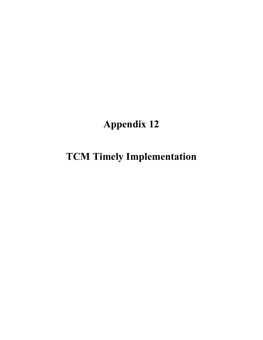## **Appendix 12**

## **TCM Timely Implementation**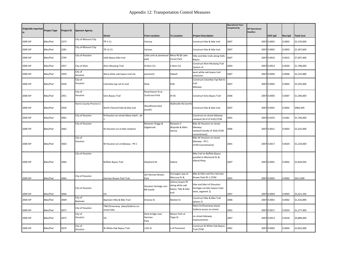| <b>Originally reported</b><br>in | <b>Project Type</b> | <b>Project ID</b> | <b>Sponsor Agency</b>    |                                                |                                             |                                                                  |                                                                                     | <b>Operational Year/</b><br><b>Completed By</b> | <b>SIP Operational</b><br><b>Deadline</b> |             |         |                   |
|----------------------------------|---------------------|-------------------|--------------------------|------------------------------------------------|---------------------------------------------|------------------------------------------------------------------|-------------------------------------------------------------------------------------|-------------------------------------------------|-------------------------------------------|-------------|---------|-------------------|
|                                  |                     |                   |                          | <b>Street</b>                                  | <b>From Location</b>                        | <b>To Location</b>                                               | <b>Project Description</b>                                                          |                                                 |                                           | VOC tpd     | Nox tpd | <b>Total Cost</b> |
| 2000 SIP                         | Bike/Ped            | 2273              | City of Missouri City    | TR 1-11                                        | Various                                     |                                                                  | Construct hike & bike trail                                                         | 2007                                            | 2007                                      | 0.0002      | 0.0003  | \$2,376,000       |
| 2000 SIP                         | Bike/Ped            | 2281              | City of Missouri City    | TR 12-21                                       | Various                                     |                                                                  | Construct hike & bike trail                                                         | 2007                                            | 2007                                      | 0.0002      | 0.0003  | \$2,397,600       |
| 2000 SIP                         | Bike/Ped            | 2795              | City of Houston          | Halls Bayou bike trail                         | Little york at pinewood<br>park             | Mesa Rd @ Lake<br>Forest Park                                    | Hike and bike trails along Halls<br>Bayou                                           | 2007                                            | 2007                                      | 0.0010      | 0.0015  | \$7,697,400       |
| 2000 SIP                         | Bike/Ped            | 2927              | City of Alvin            | Alvin Mustang Trail                            | N Alvin C/L                                 | S Alvin C/L                                                      | Construct Alvin Mustang Trail<br>System of                                          | 2003                                            | 2007                                      | 0.0014      | 0.0020  | \$1,798,000       |
| 2000 SIP                         | Bike/Ped            | 2929              | City of<br>Houston       | West white oak bayou trail ext                 | pinemont                                    | tidwell                                                          | west white oak bayou trail<br>extension                                             | 2007                                            | 2007                                      | 0.0004      | 0.0006  | \$2,252,880       |
| 2000 SIP                         | Bike/Ped            | 2930              | City of<br>Houston       | Columbia tap rail to trail                     | Dixie                                       | Polk                                                             | Construct Columbia Tap Rail to<br>trail<br>bikeway                                  | 2007                                            |                                           | 2007 0.0002 | 0.0003  | \$2,293,000       |
| 2000 SIP                         | Bike/Ped            | 2931              | City of<br>Houston       | Sims Bayou Trail                               | Rosenhaven St at<br><b>Scottcrest Park</b>  | IH 45                                                            | Construct Sims Bayou Trail                                                          | 2006                                            |                                           | 2007 0.0005 | 0.0007  | \$1,296,000       |
| 2000 SIP                         | Bike/Ped            | 2934              | Harris County Precinct 2 | North Channel hike & bike trail                | Woodforest blvd<br>(south)                  | Wallisville Rd (north)                                           | Construct hike & bike trail                                                         | 2007                                            | 2007                                      | 0.0001      | 0.0002  | \$984,269         |
| 2000 SIP                         | Bike/Ped            | 3061              | City of Houston          | N Houston on-street bkwy ntwrk - ph            |                                             |                                                                  | Construct on-street bikeway<br>network (N of LP 610) (TCM                           | 2001                                            |                                           | 2007 0.0255 | 0.0361  | \$1,746,000       |
| 2000 SIP                         | Bike/Ped            | 3062              | City of Houston          | SE Houston on-st bike network                  | Between Griggs &<br>Edgebrook               | Between S<br>Wayside & Allen<br>Genoa                            | Bike SE Houston on-street<br>bikeway<br>network (inside LP 610) (TCM<br>commitment) | 2006                                            |                                           | 2007 0.0021 | 0.0003  | \$2,235,000       |
| 2000 SIP                         | Bike/Ped            | 3063              | City of<br>Houston       | W Houston on-st bikeway - PH 1                 |                                             |                                                                  | Bike W Houston on-street<br>bikeway - PH 1<br>(TCM Commitment)                      | 2001                                            |                                           | 2007 0.0017 | 0.0024  | \$1,220,000       |
| 2000 SIP                         | Bike/Ped            | 3064              | City of Houston          | Buffalo Bayou Trail                            | Shepherd Dr                                 | Sabine                                                           | Bike trail on Buffalo Bayou<br>parallel to Memorial Dr &<br>Allend Pkwy             | 2007                                            |                                           | 2007 0.0001 | 0.0002  | \$2,820,050       |
| 2000 SIP                         | Bike/Ped            | 3065              | City of Houston          | Herman Brown Park Trail                        | w/I Herman Brown<br>Park                    | Dunvegan way at<br>Mercury Dr &                                  | Bike & Hike trail thru Herman<br>Brown Park Ph 1 (TCM                               | 2001                                            | 2007                                      | 0.0002      | 0.0002  | \$611,000         |
| 2000 SIP                         | Bike/Ped            | 3066              | City of Houston          | VA                                             | Houston heritage corr-<br><b>RR</b> trestle | Johnny Goyen Pk<br>along white oak<br>bayou hike & bike<br>trail | hike and bike tril (houston<br>heritage corridor bayou trails<br>west, segment 1)   | 2007                                            | 2007                                      | 0.0003      | 0.0005  | \$3,421,436       |
| 2000 SIP                         | Bike/Ped            | 3069              | City of<br>Baytown       | Baytown Hike & Bike Trail                      | Arizona St                                  | Market St                                                        | Construct Hike & Bike Trail<br>(phase 2)                                            | 2006                                            | 2007                                      | 0.0001      | 0.0002  | \$1,526,890       |
| 2000 SIP                         | Bike/Ped            | 3071              | City of Houston          | TMC/Greenway plaza/Galleria on-<br>street bike |                                             |                                                                  | Med Ctr/Greenway plaza/<br>Galleria access on-street                                | 2001                                            |                                           | 2007 0.0017 | 0.0024  | \$1,277,400       |
| 2000 SIP                         | Bike/Ped            | 3072              | City of<br>Houston       | VA                                             | Dixie bridge near<br>Herman<br>Park         | Mason Park at<br><b>Tipps St</b>                                 | on-street bikeway<br>improvements                                                   | 2007                                            |                                           | 2007 0.0013 | 0.0018  | \$4,889,000       |
| 2000 SIP                         | Bike/Ped            | 3074              | City of<br>Houston       | W White Oak Bayou Trail                        | 11th St                                     | S of Pinemont                                                    | Construct W White Oak Bayou<br>Trail (TCM                                           | 2001                                            |                                           | 2007 0.0003 | 0.0004  | \$2,602,000       |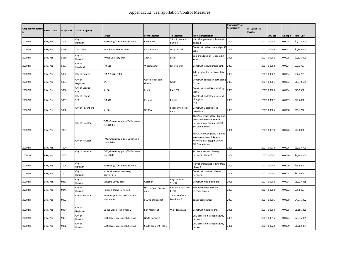| <b>Originally reported</b><br>in | <b>Project Type</b> | Project ID | <b>Sponsor Agency</b>  |                                                |                             |                                  |                                                                                                            | <b>Operational Year/</b><br><b>Completed By</b> | <b>SIP Operational</b><br><b>Deadline</b> |             |         |                   |
|----------------------------------|---------------------|------------|------------------------|------------------------------------------------|-----------------------------|----------------------------------|------------------------------------------------------------------------------------------------------------|-------------------------------------------------|-------------------------------------------|-------------|---------|-------------------|
|                                  |                     |            |                        | <b>Street</b>                                  | <b>From Location</b>        | <b>To Location</b>               | <b>Project Description</b>                                                                                 |                                                 |                                           | VOC tpd     | Nox tpd | <b>Total Cost</b> |
| 2000 SIP                         | Bike/Ped            | 3075       | City of<br>Houston     | Harrisburg/Sunset rails to trails              | Chenevert                   | 75th Street and<br>Buffalo       | Harrisburg/sunset rails to trails<br>phase 1                                                               | 2000                                            | 2007                                      | 0.0003      | 0.0004  | \$2,075,000       |
| 2000 SIP                         | Bike/Ped            | 4069       | The District           | <b>Woodlands Town Center</b>                   | Lake Robbins                | Grogans Mill                     | Construct pedestrian bridges @<br>Lake                                                                     | 2005                                            |                                           | 2007 0.0006 | 0.0011  | \$2,350,000       |
| 2000 SIP                         | Bike/Ped            | 5050       | City of<br>Houston     | White Oak/Katy Trail                           | 14th st                     | Main                             | bike trail/Lane on Roads & RR<br>ROW                                                                       | 2006                                            | 2007                                      | 0.0004      | 0.0005  | \$2,136,000       |
| 2000 SIP                         | Bike/Ped            | 5051       | City of<br>Pearland    | <b>FM 518</b>                                  | Westminister                | Riverside Dr                     | Construct sidewalk/bike path                                                                               | 2007                                            | 2007                                      | 0.0002      | 0.0004  | \$321,727         |
| 2000 SIP                         | Bike/Ped            | 5052       | City of Conroe         | FM 2854 & LP 336                               |                             |                                  | Add striping for on-street bike<br>lane                                                                    | 2007                                            | 2007                                      | 0.0002      | 0.0004  | \$366,231         |
| 2000 SIP                         | Bike/Ped            | 5053       | City of<br>Baytown     | VA                                             | Goose creek park -<br>Goose | Garth                            | Construct pedestian path along<br>Goose                                                                    | 2007                                            |                                           | 2007 0.0001 | 0.0002  | \$1,070,581       |
| 2000 SIP                         | Bike/Ped            | 5056       | City of League<br>City | SH 96                                          | IH 45                       | FM 1266                          | Construct hike/bike trail along<br>SH 96                                                                   | 2007                                            |                                           | 2007 0.0003 | 0.0004  | \$757,500         |
| 2000 SIP                         | Bike/Ped            | 5057       | City of League<br>City | <b>FM 518</b>                                  | Perkins                     | Illinois                         | Construct pedestrian sidewalk<br>along FM<br>518                                                           | 2007                                            |                                           | 2007 0.0002 | 0.0003  | \$425,000         |
| 2000 SIP                         | Bike/Ped            | 5058       | City of Rosenberg      | SH 36                                          | <b>US 90A</b>               | Seabourne Creek<br>Park          | Construct 5' sidewalk to<br>provide a                                                                      | 2007                                            |                                           | 2007 0.0005 | 0.0008  | \$651,726         |
|                                  |                     |            | City of Houston        | TMC/Greenway plaza/Galleria on-<br>street bike |                             |                                  | TMC/Greenway plaza/ Galleria<br>access on-street bikeway<br>network- east seg ph 1 (TCM<br>SIP Commitment) |                                                 |                                           |             |         |                   |
| 2000 SIP                         | Bike/Ped            | 7003       |                        |                                                |                             |                                  |                                                                                                            | 2000                                            |                                           | 2007 0.0019 | 0.0026  | \$440,000         |
|                                  |                     |            | City of Houston        | TMC/Greenway plaza/Galleria on-<br>street bike |                             |                                  | TMC/Greenway plaza/ Galleria<br>access on-street bikeway<br>network- east seg ph 1 (TCM<br>SIP Commitment) |                                                 |                                           |             |         |                   |
| 2000 SIP                         | <b>Bike/Ped</b>     | 7004       |                        |                                                |                             |                                  |                                                                                                            | 2000                                            |                                           | 2007 0.0018 | 0.0026  | \$1,734,700       |
| 2000 SIP                         | Bike/Ped            | 7005       | City of Houston        | TMC/Greenway plaza/Galleria on-<br>street bike |                             |                                  | Access on-street bikeway<br>network - phase 2                                                              | 2003                                            |                                           | 2007 0.0007 | 0.0010  | \$1,198,300       |
| 2000 SIP                         | Bike/Ped            | 7006       | City of<br>Houston     | Harrisburg/Sunset rails to trails              |                             |                                  | Harrisburg/sunset rails to trails<br>phase 2                                                               | 2003                                            |                                           | 2007 0.0006 | 0.0009  | \$952,000         |
| 2000 SIP                         | Bike/Ped            | 7007       | City of<br>Houston     | N Houston on-street bkwy<br>ntwrk - ph 2       |                             |                                  | Construct on-street bikeway<br>network                                                                     | 2004                                            |                                           | 2007 0.0003 | 0.0004  | \$313,000         |
| 2000 SIP                         | Bike/Ped            | 9351       | City of<br>Houston     | Keegans Bayou Trail                            | Gessner                     | City Limits near<br>Synott       | Construct hike & bike trail                                                                                | 2006                                            |                                           | 2007 0.0002 | 0.0004  | \$5,027,858       |
| 2000 SIP                         | Bike/Ped            | 9841       | City of<br>Houston     | Herman Brown Park Trail                        | W/I Herman Brown<br>Park    | E of FM 526 & S to<br>IH 10      | Bike & hike trail through<br>Herman Brown                                                                  | 2007                                            |                                           | 2007 0.0002 | 0.0002  | \$768,497         |
| 2000 SIP                         | Bike/Ped            | 9902       | City of Houston        | West Brays Bayou bike trail west<br>segment A  | 550' N of bissonet          | 1500' W of IH 610<br>(west loop) | construct bike trail                                                                                       | 2007                                            |                                           | 2007 0.0006 | 0.0008  | \$4,875,822       |
| 2000 SIP                         | Bike/Ped            | 9954       | City of<br>Baytown     | Goose Creek Trail (Phase 2)                    | S of Market St              | W of Texas Ave                   | Construct hike/bike trail                                                                                  | 2006                                            |                                           | 2007 0.0003 | 0.0005  | \$1,156,250       |
| 2000 SIP                         | Bike/Ped            | 9987       | City of<br>Houston     | CBD Access on-street bikeways                  | North Segment               |                                  | CBD access on-street bikeway<br>network                                                                    | 2001                                            | 2007                                      | 0.0016      | 0.0023  | \$2,076,965       |
| 2000 SIP                         | Bike/Ped            | 9988       | City of<br>Houston     | CBD Access on-street bikeways                  | South segment - PH 1        |                                  | CBD access on-street bikeway<br>network                                                                    | 2000                                            |                                           | 2007 0.0028 | 0.0039  | \$1,282,474       |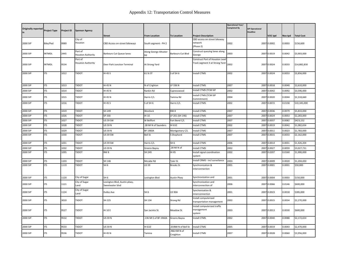| <b>Originally reported</b><br>in | <b>Project Type</b> | <b>Project ID</b> | <b>Sponsor Agency</b>               |                                                 |                             |                           |                                                                  | <b>Operational Year/</b><br>Completed By | <b>SIP Operational</b><br><b>Deadline</b> |             |         |                   |
|----------------------------------|---------------------|-------------------|-------------------------------------|-------------------------------------------------|-----------------------------|---------------------------|------------------------------------------------------------------|------------------------------------------|-------------------------------------------|-------------|---------|-------------------|
|                                  |                     |                   |                                     | <b>Street</b>                                   | <b>From Location</b>        | <b>To Location</b>        | <b>Project Description</b>                                       |                                          |                                           | VOC tpd     | Nox tpd | <b>Total Cost</b> |
| 2000 SIP                         | Bike/Ped            | 9989              | City of<br>Houston                  | CBD Access on-street bikeways                   | South segment - PH 2        |                           | CBD access on-street bikeway<br>network<br>(Phase 2)             | 2002                                     |                                           | 2007 0.0002 | 0.0003  | \$156,600         |
| 2000 SIP                         | <b>INTMDL</b>       | 2445              | Port of<br><b>Houston Authority</b> | Barbours Cut Queue lanes                        | Along George Altvater<br>Rd | Barbours Cut Blvd         | Construct queuing lanes along<br>George                          | 2003                                     |                                           | 2007 0.0019 | 0.0042  | \$3,903,000       |
| 2000 SIP                         | <b>INTMDL</b>       | 9534              | Port of<br><b>Houston Authority</b> | Deer Park Junction Terminal                     | At Strang Yard              |                           | Construct Port of Houston Lead<br>Track segment 3 at Strang Yard | 2002                                     |                                           | 2007 0.0024 | 0.0033  | \$14,882,830      |
| 2000 SIP                         | <b>ITS</b>          | 1012              | TXDOT                               | IH 45 S                                         | 61 St ST                    | S of SH 6                 | Install CTMS                                                     | 2002                                     | 2007                                      | 0.0024      | 0.0053  | \$3,856,000       |
| 2000 SIP                         | <b>ITS</b>          | 1013              | <b>TXDOT</b>                        | <b>IH 45 N</b>                                  | N of Crighton               | LP 336 N                  | <b>Install CTMS</b>                                              | 2007                                     |                                           | 2007 0.0018 | 0.0040  | \$2,610,000       |
| 2000 SIP                         | <b>ITS</b>          | 1014              | <b>TXDOT</b>                        | IH 45 N                                         | Rankin Rd                   | Cypresswood               | Install CTMS (TCM SIP                                            | 2002                                     | 2007                                      | 0.0042      | 0.0092  | \$3,596,000       |
| 2000 SIP                         | <b>ITS</b>          | 1015              | <b>TXDOT</b>                        | IH 45 N                                         | Harris C/L                  | Tamina Rd                 | Install CTMS (TCM SIP<br>Commitment)                             | 2004                                     |                                           | 2007 0.0020 | 0.0044  | \$2,318,660       |
| 2000 SIP                         | <b>ITS</b>          | 1016              | <b>TXDOT</b>                        | IH 45 S                                         | S of SH 6                   | Harris C/L                | nstall CTMS                                                      | 2002                                     |                                           | 2007 0.0072 | 0.0158  | \$10,345,000      |
| 2000 SIP                         | <b>ITS</b>          | 1019              | <b>TXDOT</b>                        | SH 249                                          | Westlock                    | BW <sub>8</sub>           | <b>Install CTMS</b>                                              | 2007                                     | 2007                                      | 0.0036      | 0.0079  | \$5,833,000       |
| 2000 SIP                         | <b>ITS</b>          | 1026              | TXDOT                               | SP 330                                          | IH 10                       | LP 201 (SH 146)           | <b>Install CTMS</b>                                              | 2007                                     | 2007                                      | 0.0024      | 0.0053  | \$2,283,000       |
| 2000 SIP                         | <b>ITS</b>          | 1027              | <b>TXDOT</b>                        | <b>US 59 SW</b>                                 | W Bellfort                  | Fort Bend C/L             | Install CTMS                                                     | 2007                                     | 2007                                      | 0.0037      | 0.0082  | \$423,152         |
| 2000 SIP                         | <b>ITS</b>          | 1028              | <b>TXDOT</b>                        | <b>US 59 N</b>                                  | .28 MI N of Saunders        | IH 610                    | <b>Install CTMS</b>                                              | 2002                                     | 2007                                      | 0.0019      | 0.0042  | \$1,082,654       |
| 2000 SIP                         | <b>ITS</b>          | 1029              | <b>TXDOT</b>                        | <b>US 59 N</b>                                  | <b>BF 1960A</b>             | Montgomery C/L            | nstall CTMS                                                      | 2007                                     | 2007                                      | 0.0011      | 0.0023  | \$1,783,000       |
| 2000 SIP                         | <b>ITS</b>          | 1030              | <b>TXDOT</b>                        | <b>US 59 SW</b>                                 | <b>Bell St</b>              | S Shepherd                | nstall CTMS                                                      | 2007                                     |                                           | 2007 0.0015 | 0.0033  | \$2,162,000       |
| 2000 SIP                         | <b>ITS</b>          | 1031              | <b>TXDOT</b>                        | <b>US 59 SW</b>                                 | Harris C/L                  | SH <sub>6</sub>           | <b>Install CTMS</b>                                              | 2006                                     | 2007                                      | 0.0014      | 0.0031  | \$1,426,204       |
| 2000 SIP                         | <b>ITS</b>          | 1032              | <b>TXDOT</b>                        | <b>US 59 N</b>                                  | Greens Bayou                | .28 MIN of                | Install CTMS                                                     | 2002                                     | 2007                                      | 0.0027      | 0.0059  | \$3,027,731       |
| 2000 SIP                         | <b>ITS</b>          | 1095              | <b>TXDOT</b>                        | BW <sub>8</sub>                                 | SH 249                      | IH 45                     | Install signal coordination<br>system                            | 2002                                     |                                           | 2007 0.0207 | 0.0160  | \$1,900,000       |
| 2000 SIP                         | <b>ITS</b>          | 1103              | <b>TXDOT</b>                        | SH 146                                          | Mccabe Rd                   | Tyler St                  | nstall CRMS - incl surveilance                                   | 2003                                     | 2007                                      | 0.0009      | 0.0020  | \$1,204,650       |
| 2000 SIP                         | <b>ITS</b>          | 1119              | <b>TXDOT</b>                        | SH <sub>6</sub>                                 | <b>US 59</b>                | <b>Brooks St</b>          | Synchronization &<br>interconnection                             | 2001                                     | 2007                                      | 0.0001      | 0.0001  | \$50,000          |
| 2000 SIP                         | <b>ITS</b>          | 1120              | City of Sugar                       | SH <sub>6</sub>                                 | Lexington Blvd              | Austin Pkwy               | Synchronization and                                              | 2001                                     |                                           | 2007 0.0004 | 0.0003  | \$150,000         |
| 2000 SIP                         | <b>ITS</b>          | 1121              | City of Sugar<br>Land               | Lexington Blvd, Austin pkwy,<br>Sweetwater blvd |                             |                           | Synchronization and<br>interconnection of                        | 2006                                     |                                           | 2007 0.0066 | 0.0146  | \$600,000         |
| 2000 SIP                         | <b>ITS</b>          | 1124              | City of Sugar<br>Land               | <b>Dulles Ave</b>                               | SH <sub>6</sub>             | <b>US 90A</b>             | Synchonization &<br>innerconnection                              | 2001                                     |                                           | 2007 0.0023 | 0.0018  | \$285,000         |
| 2000 SIP                         | <b>ITS</b>          | 3010              | <b>TXDOT</b>                        | SH 225                                          | SH 134                      | Strang Rd                 | Install computerized<br>transportation management                | 2002                                     |                                           | 2007 0.0015 | 0.0034  | \$2,270,000       |
| 2000 SIP                         | ITS                 | 9527              | <b>TXDOT</b>                        | IH 10 E                                         | San Jacinto St              | Meadow St                 | Install computerized traffic<br>management<br>system             | 2003                                     |                                           | 2007 0.0013 | 0.0030  | \$600,000         |
| 2000 SIP                         | <b>ITS</b>          | 9532              | <b>TXDOT</b>                        | <b>US 59 N</b>                                  | .136 MI S of BF 1960A       | Greens Bayou              | nstall CTMS                                                      | 2002                                     | 2007                                      | 0.0040      | 0.0088  | \$2,172,654       |
| 2000 SIP                         | <b>ITS</b>          | 9533              | <b>TXDOT</b>                        | <b>US 59 N</b>                                  | IH 610                      | .019MI N of Bell St       | nstall CTMS                                                      | 2005                                     | 2007                                      | 0.0019      | 0.0043  | \$2,470,000       |
| 2000 SIP                         | <b>ITS</b>          | 9536              | <b>TXDOT</b>                        | IH 45 N                                         | Tamina                      | .966 KM N of<br>Creighton | Install CTMS                                                     | 2007                                     |                                           | 2007 0.0028 | 0.0060  | \$3,956,000       |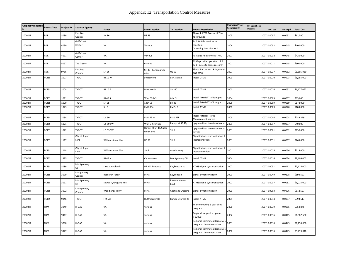| Originally reported<br>Project Type<br>in |              | <b>Project ID</b> | <b>Sponsor Agency</b>       | <b>Street</b>          | <b>From Location</b>               | <b>To Location</b>      | <b>Project Description</b>                                      | <b>Operational Year/</b><br><b>Completed By</b> | <b>SIP Operational</b><br><b>Deadline</b> | VOC tpd     | Nox tpd | <b>Total Cost</b> |
|-------------------------------------------|--------------|-------------------|-----------------------------|------------------------|------------------------------------|-------------------------|-----------------------------------------------------------------|-------------------------------------------------|-------------------------------------------|-------------|---------|-------------------|
| 2000 SIP                                  | P&R          | 3039              | Fort Bed<br>County          | SH 36                  | <b>US 59</b>                       |                         | Phase 1: FY98 Conduct PE for<br>fairgrounds                     | 2005                                            | 2007                                      | 0.0037      | 0.0052  | \$62,500          |
| 2000 SIP                                  | P&R          | 4090              | <b>Gulf Coast</b><br>Center | VA                     | Various                            |                         | Park & Ride services to<br>Houston:<br>Operating Costs for Yr 1 | 2006                                            |                                           | 2007 0.0032 | 0.0045  | \$400,000         |
| 2000 SIP                                  | P&R          | 4091              | <b>Gulf Coast</b><br>Center | VA                     | Various                            |                         | Park and ride services - PH 2                                   | 2007                                            | 2007                                      | 0.0032      | 0.0045  | \$420,000         |
| 2000 SIP                                  | P&R          | 5097              | The District                | VA                     | various                            |                         | FY99- provide operation of 6<br>add'l buses to serve research   | 2001                                            | 2007                                      | 0.0011      | 0.0015  | \$600,000         |
| 2000 SIP                                  | P&R          | 9756              | Fort Bed<br>County          | SH 36                  | SH 36 - Farigrounds<br>P&R         | US 59                   | Phase 2: Construct Fairgrounds<br>P&R (250                      | 2007                                            | 2007                                      | 0.0037      | 0.0052  | \$1,695,930       |
| 2000 SIP                                  | <b>RCTSS</b> | 1007              | <b>TXDOT</b>                | IH 10 W                | Studemont                          | San Jacinto             | <b>Install CTMS</b>                                             | 2003                                            |                                           | 2007 0.0010 | 0.0023  | \$1,255,000       |
| 2000 SIP                                  | <b>RCTSS</b> | 1008              | <b>TXDOT</b>                | <b>IH 10 E</b>         | Meadow St                          | SP 330                  | <b>Install CTMS</b>                                             | 2000                                            | 2007                                      | 0.0024      | 0.0052  | \$6,177,062       |
| 2000 SIP                                  | <b>RCTSS</b> | 1011              | <b>TXDOT</b>                | <b>IH 45 S</b>         | W of 59th St                       | 61st St                 | Install Arterial Traffic mgmt                                   | 2004                                            | 2007                                      | 0.0003      | 0.0007  | \$65,000          |
| 2000 SIP                                  | <b>RCTSS</b> | 1020              | <b>TXDOT</b>                | <b>SH 35</b>           | 14th St                            | SH 36                   | Install Arterial Traffic mgmt                                   | 2006                                            | 2007                                      | 0.0009      | 0.0019  | \$178,000         |
| 2000 SIP                                  | <b>RCTSS</b> | 1023              | <b>TXDOT</b>                | SH <sub>6</sub>        | FM 2004                            | FM 519                  | <b>Install ATMS</b>                                             | 2000                                            | 2007                                      | 0.0009      | 0.0020  | \$183,000         |
| 2000 SIP                                  | <b>RCTSS</b> | 1034              | <b>TXDOT</b>                | <b>US 90</b>           | FM 359 W                           | <b>FM 359E</b>          | <b>Install Arterial Traffic</b><br>Management system            | 2003                                            | 2007                                      | 0.0004      | 0.0008  | \$289,879         |
| 2000 SIP                                  | <b>RCTSS</b> | 1071              | <b>TXDOT</b>                | <b>US 59 SW</b>        | W of S Kirkwood                    | Ramps at SP 41/         | upgrade fixed time to actuated                                  | 2001                                            | 2007                                      | 0.0017      | 0.0037  | \$40,000          |
| 2000 SIP                                  | <b>RCTSS</b> | 1072              | <b>TXDOT</b>                | <b>US 59 SW</b>        | Ramps at SP 41/Sugar<br>creek blvd | SH 6                    | upgrade fixed time to actuated<br>signals                       | 2001                                            | 2007                                      | 0.0001      | 0.0002  | \$150,000         |
| 2000 SIP                                  | <b>RCTSS</b> | 1117              | City of Sugar<br>Land       | Williams trace blvd    | <b>US 59</b>                       | SH <sub>6</sub>         | Signalization, synchonization &<br>interconnection              | 2001                                            | 2007                                      | 0.0031      | 0.0067  | \$265,000         |
| 2000 SIP                                  | <b>RCTSS</b> | 1118              | City of Sugar<br>Land       | Williams trace blvd    | SH <sub>6</sub>                    | Austin Pkwy             | Signalization, synchonization &<br>interconnection              | 2001                                            | 2007                                      | 0.0025      | 0.0056  | \$215,000         |
| 2000 SIP                                  | <b>RCTSS</b> | 1825              | <b>TXDOT</b>                | <b>IH 45 N</b>         | Cypresswood                        | Montgomery C/L          | <b>Install CTMS</b>                                             | 2004                                            | 2007                                      | 0.0016      | 0.0034  | \$2,409,000       |
| 2000 SIP                                  | <b>RCTSS</b> | 3089              | Montgomery<br>Co            | Lake Woodlands         | NE MII Entrance                    | Kuykendahl rd           | ATMS: signal synchronization                                    | 2007                                            | 2007                                      | 0.0051      | 0.0112  | \$2,125,000       |
| 2000 SIP                                  | <b>RCTSS</b> | 3090              | Mongomery<br>County         | <b>Research Forest</b> | IH 45                              | Kuykendah               | Signal Synchronization                                          | 2000                                            | 2007                                      | 0.0049      | 0.0108  | \$593,521         |
| 2000 SIP                                  | <b>RCTSS</b> | 3091              | Montgomery<br>Co            | Sawdust/Grogans Mill   | IH 45                              | Research forest<br>blvd | ATMS: signal synchronization                                    | 2007                                            | 2007                                      | 0.0037      | 0.0081  | \$1,015,000       |
| 2000 SIP                                  | RCTSS        | 3092              | Montgomery<br>County        | Woodlands Pkwy         | IH 45                              | Cochrans Crossing       | Signal Synchronization                                          | 2000                                            | 2007                                      | 0.0003      | 0.0006  | \$572,527         |
| 2000 SIP                                  | <b>RCTSS</b> | 9846              | <b>TXDOT</b>                | FM 529                 | Huffmeister Rd                     | Barker-Cypress Rd       | install ATMS                                                    | 2001                                            | 2007                                      | 0.0044      | 0.0097  | \$393,513         |
| 2000 SIP                                  | TDM          | 3049              | H-GAC                       | VA                     | various                            |                         | Telecommuting 3 year pilot<br>program                           | 2000                                            | 2007                                      | 0.0039      | 0.0055  | \$358,845         |
| 2000 SIP                                  | TDM          | 9417              | H-GAC                       | VA                     | various                            |                         | Regional vanpool program<br>(FY2000)                            | 2002                                            | 2007                                      | 0.0316      | 0.0445  | \$1,387,500       |
| 2000 SIP                                  | TDM          | 9790              | H-GAC                       | VA                     | various                            |                         | Regional commute alternatives<br>program - implementation       | 2001                                            | 2007                                      | 0.0316      | 0.0445  | \$1,250,000       |
| 2000 SIP                                  | TDM          | 9927              | H-GAC                       | VA                     | various                            |                         | Regional commute alternatives<br>program - implementation       | 2002                                            | 2007                                      | 0.0316      | 0.0445  | \$3,439,040       |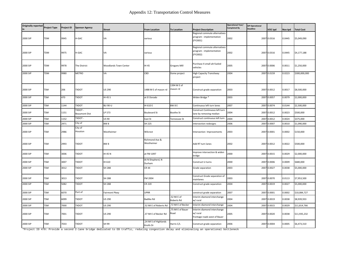| <b>Originally reported</b><br>in | <b>Project Type</b> | Project ID | <b>Sponsor Agency</b>           | <b>Street</b>         | <b>From Location</b>               | <b>To Location</b>        | <b>Project Description</b>                                              | <b>Operational Year/</b><br>Completed By | <b>SIP Operational</b><br><b>Deadline</b> | VOC tpd     | Nox tpd | <b>Total Cost</b> |
|----------------------------------|---------------------|------------|---------------------------------|-----------------------|------------------------------------|---------------------------|-------------------------------------------------------------------------|------------------------------------------|-------------------------------------------|-------------|---------|-------------------|
| 2000 SIP                         | TDM                 | 9945       | H-GAC                           | VA                    | various                            |                           | Regional commute alternatives<br>program - implementation<br>(FY2001)   | 2002                                     |                                           | 2007 0.0316 | 0.0445  | \$5,049,090       |
| 2000 SIP                         | TDM                 | 9975       | H-GAC                           | VA                    | various                            |                           | Regional commute alternatives<br>program - implementation<br>(FY2002)   | 2002                                     |                                           | 2007 0.0316 | 0.0445  | \$4,177,188       |
| 2000 SIP                         | TDM                 | 9978       | The District                    | Woodlands Town Center | IH 45                              | Grogans Mill              | Purchase 4 small alt-fueled<br>vehicles                                 | 2005                                     |                                           | 2007 0.0006 | 0.0011  | \$1,250,000       |
| 2000 SIP                         | TDM                 | 9980       | <b>METRO</b>                    | VA                    | CBD                                | Dome project              | <b>High Capacity Transitway</b><br>project                              | 2004                                     |                                           | 2007 0.0159 | 0.0223  | \$300,000,000     |
| 2000 SIP                         | TSM                 | 206        | TXDOT                           | <b>US 290</b>         | 1488 M E of mason rd               | 1394 M E of<br>mason rd   | Construct grade separation                                              | 2003                                     | 2007                                      | 0.0012      | 0.0017  | \$8,500,000       |
| 2000 SIP                         | TSM                 | 470        | <b>TXDOT</b>                    | IH 45 S               | at El Dorado                       |                           | Widen Bridge *                                                          | 2003                                     |                                           | 2007 0.0057 | 0.0079  | \$2,000,000       |
| 2000 SIP                         | TSM                 | 1144       | TXDOT                           | <b>BU 90-U</b>        | IH 610 E                           | BW 8 E                    | Continuous left turn lanes                                              | 2007                                     | 2007                                      | 0.0074      | 0.0144  | \$2,500,000       |
| 2000 SIP                         | TSM                 | 1151       | - TXDOT<br><b>Beaumont Dist</b> | LP 573                | <b>Boulevard St</b>                | Boothe St                 | Construct Continuous left turn<br>lane by removing median               | 2004                                     | 2007                                      | 0.0012      | 0.0023  | \$500,000         |
| 2000 SIP                         | <b>TSM</b>          | 1152       | TXDOT-                          | <b>US 90</b>          | East St                            | Tennessee St              | Construct continuous left turn                                          | 2004                                     |                                           | 2007 0.0012 | 0.0024  | \$375,000         |
| 2000 SIP                         | <b>TSM</b>          | 2971       | City of                         | BW <sub>8</sub>       | SH 225                             |                           | intersection redesigns                                                  | 2006                                     |                                           | 2007 0.0007 | 0.0010  | \$1,090,000       |
| 2000 SIP                         | TSM                 | 2986       | City of<br>Houston              | Westheimer            | Wilcrest                           |                           | Intersection Improvements                                               | 2003                                     |                                           | 2007 0.0001 | 0.0002  | \$150,000         |
| 2000 SIP                         | TSM                 | 2993       | <b>TXDOT</b>                    | BW <sub>8</sub>       | Richmond Ave &<br>Westheimer       |                           | Add RT turn lanes                                                       | 2002                                     |                                           | 2007 0.0012 | 0.0022  | \$500,000         |
| 2000 SIP                         | TSM                 | 3006       | <b>TXDOT</b>                    | IH 45 N               | at FM 1097                         |                           | Improve intersection & widen<br>bridge                                  | 2000                                     |                                           | 2007 0.0015 | 0.0029  | \$2,000,000       |
| 2000 SIP                         | TSM                 | 3007       | <b>TXDOT</b>                    | IH 610                | At N Shepherd, N<br>Durham         |                           | Construct U-turns                                                       | 2000                                     | 2007                                      | 0.0006      | 0.0009  | \$680,000         |
| 2000 SIP                         | TSM                 | 3012       | <b>TXDOT</b>                    | SH 288                | CR 44                              |                           | Grade separation                                                        | 2003                                     |                                           | 2007 0.0027 | 0.0038  | \$5,000,000       |
| 2000 SIP                         | <b>TSM</b>          | 3013       | <b>TXDOT</b>                    | <b>SH 288</b>         | FM 2004                            |                           | Construct Grade separation of<br>mainlanes                              | 2003                                     |                                           | 2007 0.0070 | 0.0113  | \$7,953,500       |
| 2000 SIP                         | TSM                 | 5082       | TXDOT                           | SH 288                | <b>CR 220</b>                      |                           | Construct grade separation                                              | 2004                                     |                                           | 2007 0.0019 | 0.0027  | \$5,000,000       |
| 2000 SIP                         | TSM                 | 6070       | Port of                         | Fairmont Pkwy         | <b>UPRR</b>                        |                           | construct grade separation                                              | 2007                                     | 2007                                      | 0.0001      | 0.0002  | \$10,084,727      |
| 2000 SIP                         | TSM                 | 6099       | TXDOT                           | <b>US 290</b>         | <b>Badtke Rd</b>                   | .52 Mi E of<br>Roberts Rd | Interim diamond interchange<br>w/ rural                                 | 2004                                     | 2007                                      | 0.0019      | 0.0038  | \$8,939,933       |
| 2000 SIP                         | <b>TSM</b>          | 7000       | <b>TXDOT</b>                    | <b>US 290</b>         | .52 MI E of Roberts Rd             | .72 MI E of Becker        | Interim diamond interchange                                             | 2004                                     |                                           | 2007 0.0015 | 0.0029  | \$11,814,766      |
| 2000 SIP                         | TSM                 | 7001       | <b>TXDOT</b>                    | <b>US 290</b>         | .37 MI E of Becker Rd              | .75 MI E of Bauer<br>Road | Interim diamond interchange<br>w/ rural<br>frontage roads west of Bauer | 2005                                     |                                           | 2007 0.0020 | 0.0038  | \$11,935,232      |
| 2000 SIP                         | TSM                 | 7033       | TXDOT                           | SH 99                 | .24 MI S of Highlands<br>Knolls Dr | Harris C/L                | Construct grade separation                                              | 2006                                     |                                           | 2007 0.0004 | 0.0005  | \$6,473,310       |

\*Project ID 470: Provide a second 2-lane bridge dedicated to EB traffic, reducing congestion delay and eliminating an operational bottleneck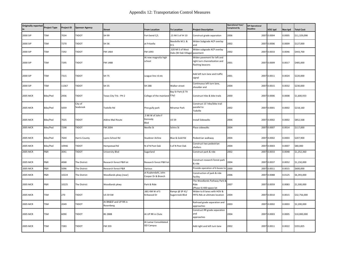| Originally reported Project Type<br>in |            | <b>Project ID</b> | <b>Sponsor Agency</b> | <b>Street</b>                      | <b>From Location</b>                       | <b>To Location</b>                       | <b>Project Description</b>                                                       | <b>Operational Year/</b><br><b>Completed By</b> | <b>SIP Operational</b><br>Deadline | VOC tpd     | Nox tpd | <b>Total Cost</b> |
|----------------------------------------|------------|-------------------|-----------------------|------------------------------------|--------------------------------------------|------------------------------------------|----------------------------------------------------------------------------------|-------------------------------------------------|------------------------------------|-------------|---------|-------------------|
| 2000 SIP                               | TSM        | 7034              | <b>TXDOT</b>          | SH 99                              | Fort bend C/L                              | .15 Mi S of IH 10                        | Construct grade separation                                                       | 2006                                            |                                    | 2007 0.0004 | 0.0005  | \$11,329,098      |
| 2000 SIP                               | <b>TSM</b> | 7270              | <b>TXDOT</b>          | SH 36                              | at Fritzella                               | Needville M.S. &<br>H.S.                 | Widen Subgrade ACP overlay<br>and                                                | 2002                                            |                                    | 2007 0.0006 | 0.0009  | \$127,000         |
| 2000 SIP                               | <b>TSM</b> | 7292              | <b>TXDOT</b>          | FM 1464                            | FM 1093                                    | .320 MI S of West<br>Oaks (W Oak Village | Widen subgrade ACP overlay<br>pavement                                           | 2002                                            |                                    | 2007 0.0033 | 0.0046  | \$443,700         |
| 2000 SIP                               | TSM        | 7295              | TXDOT                 | FM 1488                            | At new magnolia high<br>school             |                                          | Widen pavement for left and<br>right turn channelization and<br>flashing beacons | 2001                                            |                                    | 2007 0.0009 | 0.0017  | \$485,000         |
| 2000 SIP                               | <b>TSM</b> | 7315              | <b>TXDOT</b>          | SH 75                              | League line rd etc                         |                                          | Add left turn lane and traffic<br>signal                                         | 2001                                            |                                    | 2007 0.0011 | 0.0024  | \$220,000         |
| 2000 SIP                               | <b>TSM</b> | 11367             | <b>TXDOT</b>          | SH 35                              | <b>SH 288</b>                              | Walker street                            | Continuous left turn lane,<br>shoulder and                                       | 2004                                            |                                    | 2007 0.0015 | 0.0032  | \$230,000         |
| 2005 MCR                               | Bike/Ped   | 2936              | <b>TXDOT</b>          | Texas City Trls - PH 2             | College of the mainland City)              | Bay St Park (E TX                        | Construct hike & bike trails                                                     | 2000                                            |                                    | 2007 0.0006 | 0.0008  | \$1,600,933       |
| 2005 MCR                               | Bike/Ped   | 5059              | City of<br>Seabrook   | Todville Rd                        | Pine gully park                            | Miramar Park                             | Construct 15' hike/bike trail<br>parallel to<br>Todville                         | 2002                                            |                                    | 2007 0.0001 | 0.0002  | \$218,160         |
| 2005 MCR                               | Bike/Ped   | 7025              | <b>TXDOT</b>          | Aldine Mail Route                  | .5 Mi W of John F<br>Kennedy<br>Blvd       | US 59                                    | Install Sidewalks                                                                | 2006                                            |                                    | 2007 0.0002 | 0.0002  | \$852,568         |
| 2005 MCR                               | Bike/Ped   | 7298              | <b>TXDOT</b>          | FM 2004                            | <b>Neville St</b>                          | Schiro St                                | Place sidewalks                                                                  | 2004                                            | 2007                               | 0.0007      | 0.0014  | \$117,000         |
| 2005 MCR                               | Bike/Ped   | 7644              | Harris County         | Lyons School Rd                    | <b>Stuebner Airline</b>                    | Blue & Gold Rd                           | Pedestrian walkway                                                               | 2004                                            |                                    | 2007 0.0002 | 0.0003  | \$207,900         |
| 2005 MCR                               | Bike/Ped   | 10946             | <b>TXDOT</b>          | Hempstead Rd                       | N of N Post Oak                            | S of N Post Oak                          | Construct two pedestrian<br>shelters                                             | 2004                                            |                                    | 2007 0.0003 | 0.0007  | \$80,000          |
| 2005 MCR                               | P&R        | 3041              | <b>TXDOT</b>          | University Blvd                    | Sugarland                                  |                                          | Construct park & ride                                                            | 2002                                            |                                    | 2007 0.0033 | 0.0048  | \$1,252,360       |
| 2005 MCR                               | P&R        | 4068              | The District          | Research forest P&R lot            | Research forest P&R lot                    |                                          | Construct research forest park<br>& ride                                         | 2004                                            |                                    | 2007 0.0037 | 0.0052  | \$1,150,000       |
| 2005 MCR                               | P&R        | 5096              | The District          | Research forest P&R                | Various                                    |                                          | Provide operation of 6 buses to 2000                                             |                                                 | 2007                               | 0.0011      | 0.0015  | \$600.000         |
| 2005 MCR                               | P&R        | 10224             | The District          | Woodlands pkwy (near)              | at Kuykendahl, John<br>Cooper Dr & Branch  |                                          | Construction of park & ride<br>facility                                          | 2006                                            |                                    | 2007 0.0088 | 0.0125  | \$6,393,000       |
| 2005 MCR                               | P&R        | 10225             | The District          | Woodlands pkwy                     | Park & Ride                                |                                          | The Woodlands Parkway Park &<br>Ride<br>Phase II) 400-space lot                  | 2007                                            |                                    | 2007 0.0059 | 0.0083  | \$1,500,000       |
| 2005 MCR                               | TSM        | 270               | <b>TXDOT</b>          | <b>US 59 SW</b>                    | .681 KM W of S<br>Kirkwood Dr              | Ramps @ SP 41/<br>Sugarcreek Blvd        | Widen to 8 lanes with HOV &<br>FRTG Rds at ultimate location                     | 2004                                            |                                    | 2007 0.0010 | 0.0015  | \$32,756,000      |
| 2005 MCR                               | <b>TSM</b> | 2049              | <b>TXDOT</b>          | At BN&SF and UP RR in<br>Rosenberg |                                            |                                          | Railroad grade separation and<br>approaches                                      | 2003                                            |                                    | 2007 0.0002 | 0.0003  | \$2,200,000       |
| 2005 MCR                               | <b>TSM</b> | 6090              | TXDOT                 | <b>BS 288B</b>                     | At UP RR in Clute                          |                                          | Construct RR grade separation<br>and<br>approaches                               | 2004                                            |                                    | 2007 0.0003 | 0.0005  | \$10,000,000      |
| 2005 MCR                               | TSM        | 7283              | TXDOT                 | FM 359                             | At Lamar Consolidated<br><b>ISD Campus</b> |                                          | Add right and left turn lane                                                     | 2002                                            |                                    | 2007 0.0011 | 0.0022  | \$355,825         |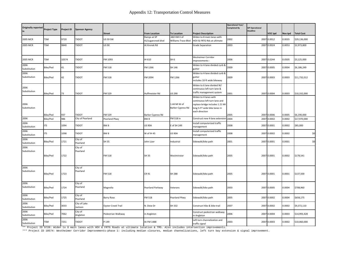| <b>Originally reported</b><br>in | <b>Project Type</b> | Project ID | <b>Sponsor Agency</b>   |                           |                                     |                                   |                                                                                                                                             | <b>Operational Year/</b><br><b>Completed By</b> | <b>SIP Operational</b><br>Deadline |             |         |                   |
|----------------------------------|---------------------|------------|-------------------------|---------------------------|-------------------------------------|-----------------------------------|---------------------------------------------------------------------------------------------------------------------------------------------|-------------------------------------------------|------------------------------------|-------------|---------|-------------------|
|                                  |                     |            |                         | <b>Street</b>             | <b>From Location</b><br>Ramps at SP | <b>To Location</b><br>682 KM E of | <b>Project Description</b><br>Widen to 8 main lanes with                                                                                    |                                                 |                                    | VOC tpd     | Nox tpd | <b>Total Cost</b> |
| 2005 MCR                         | TSM                 | 9720       | TXDOT                   | <b>US 59 SW</b>           | 41/sugarcreek blvd                  | Williams Trace Blvd               | HOV & FRTG Rds at ultimate                                                                                                                  | 2002                                            | 2007                               | 0.0012      | 0.0035  | \$29,136,000      |
| 2005 MCR                         | TSM                 | 9840       | <b>TXDOT</b>            | <b>US 90</b>              | At Krenek Rd                        |                                   | <b>Grade Separation</b>                                                                                                                     | 2003                                            |                                    | 2007 0.0024 | 0.0053  | \$2,973,800       |
|                                  |                     |            |                         |                           |                                     |                                   |                                                                                                                                             |                                                 |                                    |             |         |                   |
| 2005 MCR                         | TSM                 | 10574      | <b>TXDOT</b>            | FM 1093                   | IH 610                              | SH <sub>6</sub>                   | <b>Wesheimer Corridor</b><br>Improvements -                                                                                                 | 2006                                            |                                    | 2007 0.0244 | 0.0505  | \$3,125,000       |
| 2006<br>Substitution             | Bike/Ped            | 41         | TXDOT                   | FM 518                    | FM 1266                             | SH 146                            | Widen to 4-lane divided curb &<br>gutter                                                                                                    | 2009                                            |                                    | 2007 0.0005 | 0.0004  | \$6,186,249       |
| 2006<br>Substitution             | Bike/Ped            | 42         | <b>TXDOT</b>            | FM 518                    | FM 2094                             | FM 1266                           | Widen to 4-lane divided curb &<br>gutter<br>includes 10-ft wide bikeway                                                                     | 2009                                            |                                    | 2007 0.0003 | 0.0003  | \$11,732,012      |
| 2006<br>Substitution             | Bike/Ped            | 73         | TXDOT                   | FM 529                    | Huffmeister Rd                      | US 290                            | Widen to 6 lane divided W/<br>continuous left turn lane &<br>traffic management system                                                      | 2001                                            |                                    | 2007 0.0004 | 0.0003  | \$10,332,000      |
| 2006<br>Substitution             |                     |            |                         |                           |                                     | 1.44 MI W of<br>Barker Cypress Rd | Widen to 4 lanes with<br>continuous left turn lane and<br>replace bridge includes 1.21 MI<br>long 5-FT wide bike lanes in<br>each direction |                                                 |                                    |             |         |                   |
|                                  | Bike/Ped            | 937        | <b>TXDOT</b>            | FM 529                    | Barker Cypress Rd                   |                                   |                                                                                                                                             | 2005                                            |                                    | 2007 0.0006 | 0.0005  | \$6,190,000       |
| 2006                             | Bike/Ped            | 986        | City of Pearland        | Pearland Pkwy             | BW <sub>8</sub>                     | FM 518 in                         | Construct new 4-lane extensior                                                                                                              | 2004                                            | 2007                               | 0.0002      | 0.0002  | \$17,970,000      |
| 2006<br>Substitution             | <b>ITS</b>          | 1094       | <b>TXDOT</b>            | BW <sub>8</sub>           | <b>US 90A</b>                       | E of SH 249                       | Install computerized traffic<br>management                                                                                                  | 2008                                            | 2007                               | 0.0001      | 0.0002  | \$85,000          |
| 2006<br>Substitution             | <b>ITS</b>          | 1098       | <b>TXDOT</b>            | BW <sub>8</sub>           | W of IH 45                          | <b>US 90A</b>                     | Install computerized traffic<br>management                                                                                                  | 2008                                            | 2007                               | 0.0002      | 0.0002  | \$0               |
| 2006<br>Substitution             | Bike/Ped            | 1721       | City of<br>Pearland     | SH 35                     | John Lizer                          | Industrial                        | Sidewalk/bike path                                                                                                                          | 2001                                            |                                    | 2007 0.0001 | 0.0001  | \$0               |
| 2006<br>Substitution             | Bike/Ped            | 1722       | City of<br>Pearland     | FM 518                    | SH 35                               | Westminster                       | Sidewalk/bike path                                                                                                                          | 2005                                            |                                    | 2007 0.0001 | 0.0002  | \$178,541         |
| 2006<br>Substitution             | Bike/Ped            | 1723       | City of<br>Pearland     | FM 518                    | CR 91                               | SH 288                            | Sidewalk/bike path                                                                                                                          | 2005                                            |                                    | 2007 0.0001 | 0.0001  | \$137,500         |
| 2006<br>Substitution             | Bike/Ped            | 1724       | City of<br>Pearland     | Magnolia                  | Pearland Parkway                    | Veterans                          | Sidewalk/bike path                                                                                                                          | 2003                                            |                                    | 2007 0.0005 | 0.0004  | \$708,960         |
| 2006<br>Substitution             | Bike/Ped            | 1725       | City of<br>Pearland     | <b>Barry Rose</b>         | FM 518                              | Pearland Pkwy                     | Sidewalk/bike path                                                                                                                          | 2005                                            | 2007                               | 0.0002      | 0.0004  | \$658,175         |
| 2006<br>Substitution             | Bike/Ped            | 3033       | City of Lake<br>Jackson | <b>Oyster Creek Trail</b> | N. Dixie Dr                         | SH 332                            | Construct hike & bike trail                                                                                                                 | 2007                                            | 2007                               | 0.0002      | 0.0002  | \$9,372,110       |
| 2006<br>Substitution             | Bike/Ped            | 7062       | City of<br>Angleton     | Pedestrian Walkway        | in Angleton                         |                                   | Construct pedestrian walkway<br>in Angleton                                                                                                 | 2006                                            | 2007                               | 0.0004      | 0.0003  | \$14,993,428      |
| 2006<br>Substitution             | TSM                 | 7251       | TXDOT                   | P 149                     | At FM 1488                          |                                   | Left turn channelization and<br>traffic signal                                                                                              | 2003                                            |                                    | 2007 0.0003 | 0.0002  | \$10,060,000      |

\*\* Project ID 9720: Widen to 8 main lanes with HOV & FRTG Roads at ultimate location & TMS. Also includes intersection improvements.

\*\*\* Project ID 10574: Westheimer Corridor Improvements-phase 1: including median closures, median channelizations, left turn bay extension & signal improvement.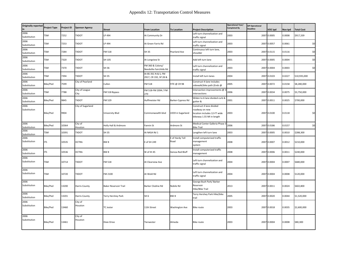| <b>Originally reported</b><br>in | <b>Project Type</b> | Project ID | <b>Sponsor Agency</b>  | <b>Street</b>                | <b>From Location</b>                         | <b>To Location</b>      | <b>Project Description</b>                                                                              | <b>Operational Year/</b><br>Completed By | <b>SIP Operational</b><br><b>Deadline</b> | VOC tpd     | Nox tpd | otal Cost    |
|----------------------------------|---------------------|------------|------------------------|------------------------------|----------------------------------------------|-------------------------|---------------------------------------------------------------------------------------------------------|------------------------------------------|-------------------------------------------|-------------|---------|--------------|
| 2006<br>Substitution             | TSM                 | 7252       | <b>TXDOT</b>           | LP 494                       | At Community Dr                              |                         | Left turn channelization and<br>traffic signal                                                          | 2003                                     |                                           | 2007 0.0005 | 0.0008  | \$917.339    |
| 2006<br>Substitution             | TSM                 | 7253       | TXDOT                  | LP 494                       | At Green Farris Rd                           |                         | Left turn channelization and<br>traffic signal                                                          | 2003                                     |                                           | 2007 0.0057 | 0.0061  | \$0          |
| 2006<br>Substitution             | <b>TSM</b>          | 7284       | <b>TOOXT</b>           | FM 518                       | SH 35                                        | Pearland Ave            | Continuous left turn lane,<br>shoulder                                                                  | 2003                                     |                                           | 2007 0.0115 | 0.0116  | \$0          |
| 2006<br>Substitution             | TSM                 | 7320       | TXDOT                  | SH 105                       | At Longview St                               |                         | Add left turn lane                                                                                      | 2001                                     |                                           | 2007 0.0005 | 0.0004  | \$0          |
| 2006<br>Substitution             | TSM                 | 7370       | TXDOT                  | SH 36                        | FM 360 & Colony/<br>Needville-Fairchilds Rd  |                         | Left turn channelization and<br>traffic signal                                                          | 2003                                     |                                           | 2007 0.0004 | 0.0003  | \$0          |
| 2006<br>Substitution             | TSM                 | 7394       | <b>TOOXT</b>           | SH 35                        | At BS 35C N & S, FM<br>2917, CR 192, SP 28 & |                         | Install left turn lanes                                                                                 | 2004                                     |                                           | 2007 0.0103 | 0.0227  | \$10,935,000 |
| 2006<br>Substitution             | Bike/Ped            | 7599       | City of Pearland       | Cullen                       | FM 518                                       | FITE @ CR 98            | Construct 4-lane includes<br>sidewalk/bike path (Ends @                                                 | 2005                                     |                                           | 2007 0.0072 | 0.0158  | \$8,280,000  |
| 2006<br>Substitution             | TSM                 | 7788       | City of League<br>City | FM 518 Bypass                | FM 518-FM 2094 / FM<br>270                   |                         | intersection improvements @<br>intersections                                                            | 2006                                     |                                           | 2007 0.0034 | 0.0075  | \$3,750,000  |
| 2006<br>Substitution             | Bike/Ped            | 9845       | TXDOT                  | FM 529                       | Huffmeister Rd                               | Barker-Cypress Rd       | Widen to 6 lane divided curb &<br>zutter &                                                              | 2001                                     |                                           | 2007 0.0011 | 0.0025  | \$700,000    |
| 2006<br>Substitution             | Bike/Ped            | 9904       | City of Sugarland      | University Blvd              | Commonwealth blvd                            | US59 in Sugarland       | Construct 4 lane divided<br>roadway on new<br>location includes 12-FT wide<br>bikeway 1.55 MI in length | 2003                                     |                                           | 2007 0.0100 | 0.0118  | \$0          |
| 2006<br>Substitution             | Bike/Ped            | 10364      | City of<br>Houston     | Holly Hall & Ardmore         | Fannin St                                    | Ardmore St              | Medical Center Galleria Phase 3<br><b>Bike Trail</b>                                                    | 2006                                     |                                           | 2007 0.0186 | 0.0157  | \$0          |
| 2006<br>Substitution             | TSM                 | 10391      | <b>TXDOT</b>           | <b>SH 35</b>                 | At NASA Rd 1                                 |                         | Lengthen left turn lane                                                                                 | 2003                                     |                                           | 2007 0.0005 | 0.0010  | \$288,300    |
| 2006<br>Substitution             | <b>ITS</b>          | 10535      | <b>HCTRA</b>           | BW <sub>8</sub>              | E of SH 249                                  | E of Hardy Toll<br>Road | Install computerized traffic<br>management<br>system                                                    | 2008                                     |                                           | 2007 0.0007 | 0.0012  | \$210,000    |
| 2006<br>Substitution             | <b>ITS</b>          | 10536      | <b>HCTRA</b>           | BW <sub>8</sub>              | W of IH 45                                   | Genoa-Red Bluff         | Install computerized traffic<br>management                                                              | 2008                                     |                                           | 2007 0.0006 | 0.0011  | \$240,000    |
| 2006<br>Substitution             | TSM                 | 10714      | TXDOT                  | FM 518                       | At Clearview Ave                             |                         | Left turn channelization and<br>traffic signal                                                          | 2004                                     |                                           | 2007 0.0004 | 0.0007  | \$680,000    |
| 2006<br>Substitution             | <b>TSM</b>          | 10720      | TXDOT                  | FM 2100                      | At Wold Rd                                   |                         | Left turn channelization and<br>traffic signal                                                          | 2004                                     |                                           | 2007 0.0004 | 0.0008  | \$120,000    |
| 2006<br>Substitution             | Bike/Ped            | 13200      | Harris County          | <b>Baker Reservoir Trail</b> | Barker Clodine Rd                            | Nobile Rd               | George Bush Park/Barker<br>Reservoir<br>Hike/Bike Trail                                                 | 2013                                     |                                           | 2007 0.0011 | 0.0024  | \$602,800    |
| 2006<br>Substitution             | Bike/Ped            | 13201      | Harris County          | Terry Hershey Park           | SH <sub>6</sub>                              | BW <sub>8</sub>         | Terry Hershey Park Hike/bike<br>trail                                                                   | 2005                                     |                                           | 2007 0.0020 | 0.0044  | \$1,520,000  |
| 2006<br>Substitution             | Bike/Ped            | 13460      | City of<br>Houston     | TC Jester                    | 11th Street                                  | <b>Washington Ave</b>   | <b>Bike route</b>                                                                                       | 2003                                     |                                           | 2007 0.0018 | 0.0035  | \$2,600,000  |
| 2006<br>Substitution             | Bike/Ped            | 13461      | City of<br>Houston     | Dixie Drive                  | Tierwester                                   | Almeda                  | <b>Bike route</b>                                                                                       | 2003                                     |                                           | 2007 0.0004 | 0.0008  | \$80,300     |